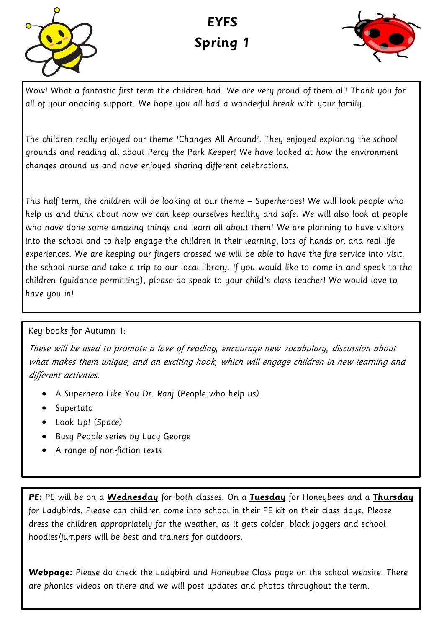

# **EYFS Spring 1**



Wow! What a fantastic first term the children had. We are very proud of them all! Thank you for all of your ongoing support. We hope you all had a wonderful break with your family.

The children really enjoyed our theme 'Changes All Around'. They enjoyed exploring the school grounds and reading all about Percy the Park Keeper! We have looked at how the environment changes around us and have enjoyed sharing different celebrations.

This half term, the children will be looking at our theme – Superheroes! We will look people who help us and think about how we can keep ourselves healthy and safe. We will also look at people who have done some amazing things and learn all about them! We are planning to have visitors into the school and to help engage the children in their learning, lots of hands on and real life experiences. We are keeping our fingers crossed we will be able to have the fire service into visit, the school nurse and take a trip to our local library. If you would like to come in and speak to the children (guidance permitting), please do speak to your child's class teacher! We would love to have you in!

## Key books for Autumn 1:

These will be used to promote a love of reading, encourage new vocabulary, discussion about what makes them unique, and an exciting hook, which will engage children in new learning and different activities.

- A Superhero Like You Dr. Ranj (People who help us)
- Supertato
- Look Up! (Space)
- Busy People series by Lucy George
- A range of non-fiction texts

**PE:** PE will be on a **Wednesday** for both classes. On a **Tuesday** for Honeybees and a **Thursday**  for Ladybirds. Please can children come into school in their PE kit on their class days. Please dress the children appropriately for the weather, as it gets colder, black joggers and school hoodies/jumpers will be best and trainers for outdoors.

**Webpage:** Please do check the Ladybird and Honeybee Class page on the school website. There are phonics videos on there and we will post updates and photos throughout the term.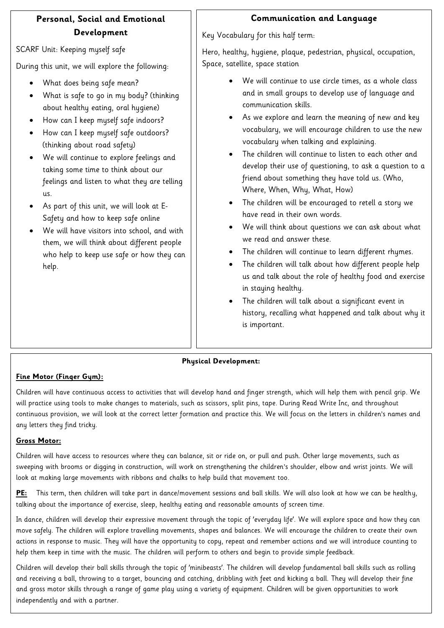## **Personal, Social and Emotional Development**

SCARF Unit: Keeping myself safe

During this unit, we will explore the following:

- What does being safe mean?
- What is safe to go in my body? (thinking about healthy eating, oral hygiene)
- How can I keep myself safe indoors?
- How can I keep myself safe outdoors? (thinking about road safety)
- We will continue to explore feelings and taking some time to think about our feelings and listen to what they are telling us.
- As part of this unit, we will look at E-Safety and how to keep safe online
- We will have visitors into school, and with them, we will think about different people who help to keep use safe or how they can help.

## **Communication and Language**

Key Vocabulary for this half term:

Hero, healthy, hygiene, plaque, pedestrian, physical, occupation, Space, satellite, space station

- We will continue to use circle times, as a whole class and in small groups to develop use of language and communication skills.
- As we explore and learn the meaning of new and key vocabulary, we will encourage children to use the new vocabulary when talking and explaining.
- The children will continue to listen to each other and develop their use of questioning, to ask a question to a friend about something they have told us. (Who, Where, When, Why, What, How)
- The children will be encouraged to retell a story we have read in their own words.
- We will think about questions we can ask about what we read and answer these.
- The children will continue to learn different rhymes.
- The children will talk about how different people help us and talk about the role of healthy food and exercise in staying healthy.
- The children will talk about a significant event in history, recalling what happened and talk about why it is important.

#### **Physical Development:**

#### **Fine Motor (Finger Gym):**

Children will have continuous access to activities that will develop hand and finger strength, which will help them with pencil grip. We will practice using tools to make changes to materials, such as scissors, split pins, tape. During Read Write Inc, and throughout continuous provision, we will look at the correct letter formation and practice this. We will focus on the letters in children's names and any letters they find tricky.

#### **Gross Motor:**

Children will have access to resources where they can balance, sit or ride on, or pull and push. Other large movements, such as sweeping with brooms or digging in construction, will work on strengthening the children's shoulder, elbow and wrist joints. We will look at making large movements with ribbons and chalks to help build that movement too.

**PE:** This term, then children will take part in dance/movement sessions and ball skills. We will also look at how we can be healthy, talking about the importance of exercise, sleep, healthy eating and reasonable amounts of screen time.

In dance, children will develop their expressive movement through the topic of 'everyday life'. We will explore space and how they can move safely. The children will explore travelling movements, shapes and balances. We will encourage the children to create their own actions in response to music. They will have the opportunity to copy, repeat and remember actions and we will introduce counting to help them keep in time with the music. The children will perform to others and begin to provide simple feedback.

Children will develop their ball skills through the topic of 'minibeasts'. The children will develop fundamental ball skills such as rolling and receiving a ball, throwing to a target, bouncing and catching, dribbling with feet and kicking a ball. They will develop their fine and gross motor skills through a range of game play using a variety of equipment. Children will be given opportunities to work independently and with a partner.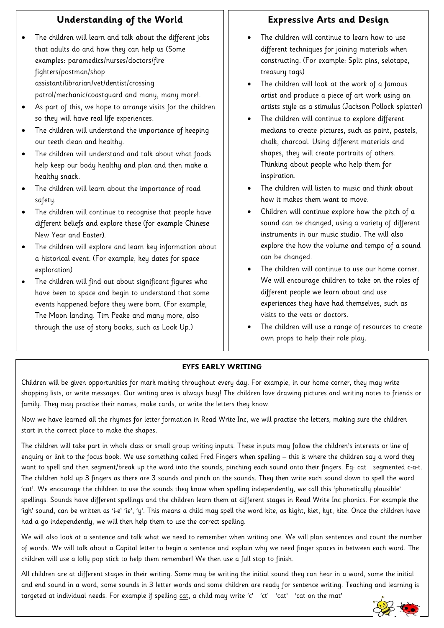# **Understanding of the World**

- The children will learn and talk about the different jobs that adults do and how they can help us (Some examples: paramedics/nurses/doctors/fire fighters/postman/shop assistant/librarian/vet/dentist/crossing patrol/mechanic/coastguard and many, many more!.
- As part of this, we hope to arrange visits for the children so they will have real life experiences.
- The children will understand the importance of keeping our teeth clean and healthy.
- The children will understand and talk about what foods help keep our body healthy and plan and then make a healthy snack.
- The children will learn about the importance of road safety.
- The children will continue to recognise that people have different beliefs and explore these (for example Chinese New Year and Easter).
- The children will explore and learn key information about a historical event. (For example, key dates for space exploration)
- The children will find out about significant figures who have been to space and begin to understand that some events happened before they were born. (For example, The Moon landing. Tim Peake and many more, also through the use of story books, such as Look Up.)

## **Expressive Arts and Design**

- The children will continue to learn how to use different techniques for joining materials when constructing. (For example: Split pins, selotape, treasury tags)
- The children will look at the work of a famous artist and produce a piece of art work using an artists style as a stimulus (Jackson Pollock splatter)
- The children will continue to explore different medians to create pictures, such as paint, pastels, chalk, charcoal. Using different materials and shapes, they will create portraits of others. Thinking about people who help them for inspiration.
- The children will listen to music and think about how it makes them want to move.
- Children will continue explore how the pitch of a sound can be changed, using a variety of different instruments in our music studio. The will also explore the how the volume and tempo of a sound can be changed.
- The children will continue to use our home corner. We will encourage children to take on the roles of different people we learn about and use experiences they have had themselves, such as visits to the vets or doctors.
- The children will use a range of resources to create own props to help their role play.

#### **EYFS EARLY WRITING**

Children will be given opportunities for mark making throughout every day. For example, in our home corner, they may write shopping lists, or write messages. Our writing area is always busy! The children love drawing pictures and writing notes to friends or family. They may practise their names, make cards, or write the letters they know.

Now we have learned all the rhymes for letter formation in Read Write Inc, we will practise the letters, making sure the children start in the correct place to make the shapes.

The children will take part in whole class or small group writing inputs. These inputs may follow the children's interests or line of enquiry or link to the focus book. We use something called Fred Fingers when spelling – this is where the children say a word they want to spell and then segment/break up the word into the sounds, pinching each sound onto their fingers. Eg: cat segmented c-a-t. The children hold up 3 fingers as there are 3 sounds and pinch on the sounds. They then write each sound down to spell the word 'cat'. We encourage the children to use the sounds they know when spelling independently, we call this 'phonetically plausible' spellings. Sounds have different spellings and the children learn them at different stages in Read Write Inc phonics. For example the 'igh' sound, can be written as 'i-e' 'ie', 'y'. This means a child may spell the word kite, as kight, kiet, kyt, kite. Once the children have had a go independently, we will then help them to use the correct spelling.

We will also look at a sentence and talk what we need to remember when writing one. We will plan sentences and count the number of words. We will talk about a Capital letter to begin a sentence and explain why we need finger spaces in between each word. The children will use a lolly pop stick to help them remember! We then use a full stop to finish.

All children are at different stages in their writing. Some may be writing the initial sound they can hear in a word, some the initial and end sound in a word, some sounds in 3 letter words and some children are ready for sentence writing. Teaching and learning is targeted at individual needs. For example if spelling cat, a child may write 'c' 'ct' 'cat' 'cat on the mat'